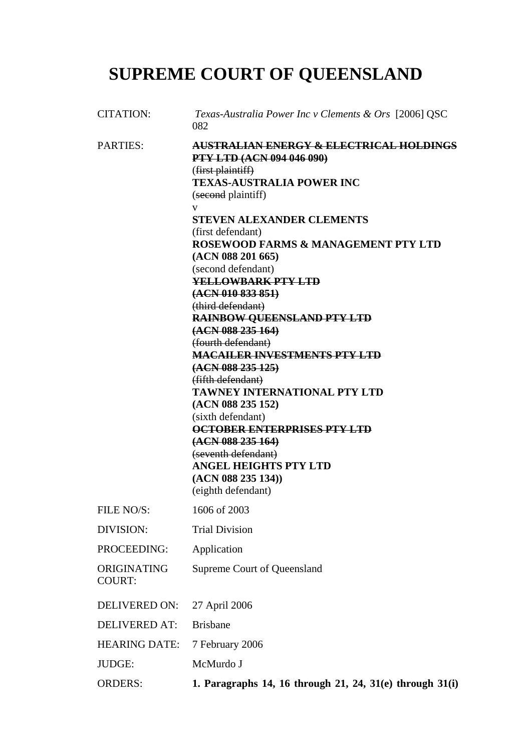# **SUPREME COURT OF QUEENSLAND**

| <b>CITATION:</b>             | Texas-Australia Power Inc v Clements & Ors [2006] QSC<br>082                                                                                                          |
|------------------------------|-----------------------------------------------------------------------------------------------------------------------------------------------------------------------|
| <b>PARTIES:</b>              | <b>AUSTRALIAN ENERGY &amp; ELECTRICAL HOLDINGS</b><br><b>PTY LTD (ACN 094 046 090)</b><br>(first plaintiff)<br><b>TEXAS-AUSTRALIA POWER INC</b><br>(second plaintiff) |
|                              | V<br><b>STEVEN ALEXANDER CLEMENTS</b>                                                                                                                                 |
|                              | (first defendant)                                                                                                                                                     |
|                              | ROSEWOOD FARMS & MANAGEMENT PTY LTD                                                                                                                                   |
|                              | (ACN 088 201 665)<br>(second defendant)                                                                                                                               |
|                              | <b>YELLOWBARK PTY LTD</b>                                                                                                                                             |
|                              | (ACN 010 833 851)                                                                                                                                                     |
|                              | (third defendant)                                                                                                                                                     |
|                              | <b>RAINBOW QUEENSLAND PTY LTD</b>                                                                                                                                     |
|                              | (ACN 088 235 164)<br>(fourth defendant)                                                                                                                               |
|                              | <b>MACAILER INVESTMENTS PTY LTD</b>                                                                                                                                   |
|                              | (ACN 088 235 125)                                                                                                                                                     |
|                              | (fifth defendant)                                                                                                                                                     |
|                              | <b>TAWNEY INTERNATIONAL PTY LTD</b><br>(ACN 088 235 152)                                                                                                              |
|                              | (sixth defendant)                                                                                                                                                     |
|                              | <b>OCTOBER ENTERPRISES PTY LTD</b>                                                                                                                                    |
|                              | (ACN 088 235 164)                                                                                                                                                     |
|                              | (seventh defendant)                                                                                                                                                   |
|                              | <b>ANGEL HEIGHTS PTY LTD</b><br>(ACN 088 235 134)                                                                                                                     |
|                              | (eighth defendant)                                                                                                                                                    |
| FILE NO/S:                   | 1606 of 2003                                                                                                                                                          |
| DIVISION:                    | <b>Trial Division</b>                                                                                                                                                 |
| PROCEEDING:                  | Application                                                                                                                                                           |
| ORIGINATING<br><b>COURT:</b> | Supreme Court of Queensland                                                                                                                                           |
| <b>DELIVERED ON:</b>         | 27 April 2006                                                                                                                                                         |
| <b>DELIVERED AT:</b>         | <b>Brisbane</b>                                                                                                                                                       |
| <b>HEARING DATE:</b>         | 7 February 2006                                                                                                                                                       |
| JUDGE:                       | McMurdo J                                                                                                                                                             |
| <b>ORDERS:</b>               | 1. Paragraphs 14, 16 through 21, 24, 31(e) through 31(i)                                                                                                              |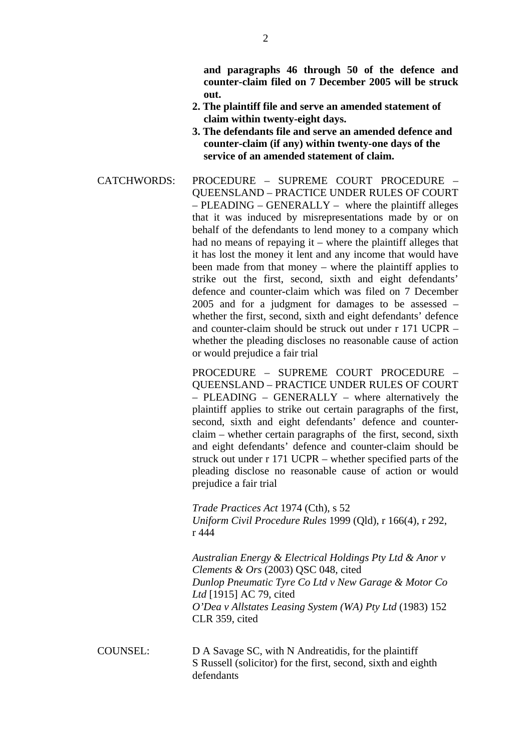**and paragraphs 46 through 50 of the defence and counter-claim filed on 7 December 2005 will be struck out.** 

- **2. The plaintiff file and serve an amended statement of claim within twenty-eight days.**
- **3. The defendants file and serve an amended defence and counter-claim (if any) within twenty-one days of the service of an amended statement of claim.**
- CATCHWORDS: PROCEDURE SUPREME COURT PROCEDURE QUEENSLAND – PRACTICE UNDER RULES OF COURT – PLEADING – GENERALLY – where the plaintiff alleges that it was induced by misrepresentations made by or on behalf of the defendants to lend money to a company which had no means of repaying it – where the plaintiff alleges that it has lost the money it lent and any income that would have been made from that money – where the plaintiff applies to strike out the first, second, sixth and eight defendants' defence and counter-claim which was filed on 7 December 2005 and for a judgment for damages to be assessed – whether the first, second, sixth and eight defendants' defence and counter-claim should be struck out under r 171 UCPR – whether the pleading discloses no reasonable cause of action or would prejudice a fair trial

PROCEDURE – SUPREME COURT PROCEDURE – QUEENSLAND – PRACTICE UNDER RULES OF COURT – PLEADING – GENERALLY – where alternatively the plaintiff applies to strike out certain paragraphs of the first, second, sixth and eight defendants' defence and counterclaim – whether certain paragraphs of the first, second, sixth and eight defendants' defence and counter-claim should be struck out under r 171 UCPR – whether specified parts of the pleading disclose no reasonable cause of action or would prejudice a fair trial

*Trade Practices Act* 1974 (Cth), s 52 *Uniform Civil Procedure Rules* 1999 (Qld), r 166(4), r 292, r 444

*Australian Energy & Electrical Holdings Pty Ltd & Anor v Clements & Ors* (2003) QSC 048, cited *Dunlop Pneumatic Tyre Co Ltd v New Garage & Motor Co Ltd* [1915] AC 79, cited *O'Dea v Allstates Leasing System (WA) Pty Ltd* (1983) 152 CLR 359, cited

COUNSEL: D A Savage SC, with N Andreatidis, for the plaintiff S Russell (solicitor) for the first, second, sixth and eighth defendants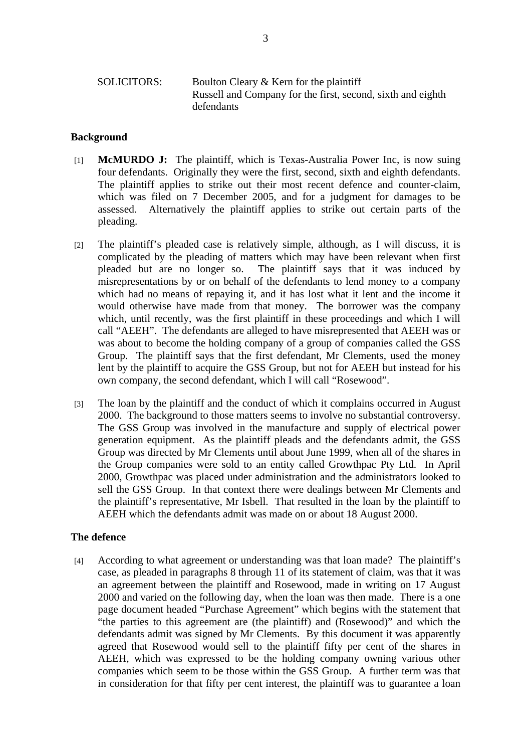# SOLICITORS: Boulton Cleary & Kern for the plaintiff Russell and Company for the first, second, sixth and eighth defendants

## **Background**

- [1] **McMURDO J:** The plaintiff, which is Texas-Australia Power Inc, is now suing four defendants. Originally they were the first, second, sixth and eighth defendants. The plaintiff applies to strike out their most recent defence and counter-claim, which was filed on 7 December 2005, and for a judgment for damages to be assessed. Alternatively the plaintiff applies to strike out certain parts of the pleading.
- [2] The plaintiff's pleaded case is relatively simple, although, as I will discuss, it is complicated by the pleading of matters which may have been relevant when first pleaded but are no longer so. The plaintiff says that it was induced by misrepresentations by or on behalf of the defendants to lend money to a company which had no means of repaying it, and it has lost what it lent and the income it would otherwise have made from that money. The borrower was the company which, until recently, was the first plaintiff in these proceedings and which I will call "AEEH". The defendants are alleged to have misrepresented that AEEH was or was about to become the holding company of a group of companies called the GSS Group. The plaintiff says that the first defendant, Mr Clements, used the money lent by the plaintiff to acquire the GSS Group, but not for AEEH but instead for his own company, the second defendant, which I will call "Rosewood".
- [3] The loan by the plaintiff and the conduct of which it complains occurred in August 2000. The background to those matters seems to involve no substantial controversy. The GSS Group was involved in the manufacture and supply of electrical power generation equipment. As the plaintiff pleads and the defendants admit, the GSS Group was directed by Mr Clements until about June 1999, when all of the shares in the Group companies were sold to an entity called Growthpac Pty Ltd. In April 2000, Growthpac was placed under administration and the administrators looked to sell the GSS Group. In that context there were dealings between Mr Clements and the plaintiff's representative, Mr Isbell. That resulted in the loan by the plaintiff to AEEH which the defendants admit was made on or about 18 August 2000.

#### **The defence**

[4] According to what agreement or understanding was that loan made? The plaintiff's case, as pleaded in paragraphs 8 through 11 of its statement of claim, was that it was an agreement between the plaintiff and Rosewood, made in writing on 17 August 2000 and varied on the following day, when the loan was then made. There is a one page document headed "Purchase Agreement" which begins with the statement that "the parties to this agreement are (the plaintiff) and (Rosewood)" and which the defendants admit was signed by Mr Clements. By this document it was apparently agreed that Rosewood would sell to the plaintiff fifty per cent of the shares in AEEH, which was expressed to be the holding company owning various other companies which seem to be those within the GSS Group. A further term was that in consideration for that fifty per cent interest, the plaintiff was to guarantee a loan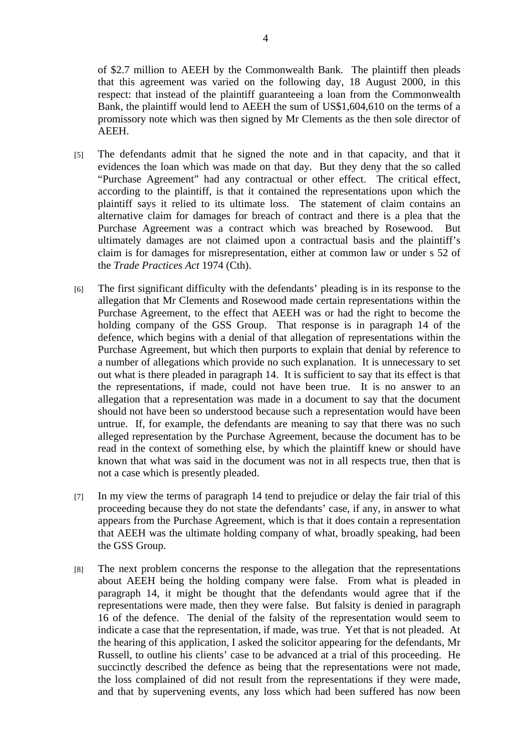of \$2.7 million to AEEH by the Commonwealth Bank. The plaintiff then pleads that this agreement was varied on the following day, 18 August 2000, in this respect: that instead of the plaintiff guaranteeing a loan from the Commonwealth Bank, the plaintiff would lend to AEEH the sum of US\$1,604,610 on the terms of a promissory note which was then signed by Mr Clements as the then sole director of AEEH.

- [5] The defendants admit that he signed the note and in that capacity, and that it evidences the loan which was made on that day. But they deny that the so called "Purchase Agreement" had any contractual or other effect. The critical effect, according to the plaintiff, is that it contained the representations upon which the plaintiff says it relied to its ultimate loss. The statement of claim contains an alternative claim for damages for breach of contract and there is a plea that the Purchase Agreement was a contract which was breached by Rosewood. But ultimately damages are not claimed upon a contractual basis and the plaintiff's claim is for damages for misrepresentation, either at common law or under s 52 of the *Trade Practices Act* 1974 (Cth).
- [6] The first significant difficulty with the defendants' pleading is in its response to the allegation that Mr Clements and Rosewood made certain representations within the Purchase Agreement, to the effect that AEEH was or had the right to become the holding company of the GSS Group. That response is in paragraph 14 of the defence, which begins with a denial of that allegation of representations within the Purchase Agreement, but which then purports to explain that denial by reference to a number of allegations which provide no such explanation. It is unnecessary to set out what is there pleaded in paragraph 14. It is sufficient to say that its effect is that the representations, if made, could not have been true. It is no answer to an allegation that a representation was made in a document to say that the document should not have been so understood because such a representation would have been untrue. If, for example, the defendants are meaning to say that there was no such alleged representation by the Purchase Agreement, because the document has to be read in the context of something else, by which the plaintiff knew or should have known that what was said in the document was not in all respects true, then that is not a case which is presently pleaded.
- [7] In my view the terms of paragraph 14 tend to prejudice or delay the fair trial of this proceeding because they do not state the defendants' case, if any, in answer to what appears from the Purchase Agreement, which is that it does contain a representation that AEEH was the ultimate holding company of what, broadly speaking, had been the GSS Group.
- [8] The next problem concerns the response to the allegation that the representations about AEEH being the holding company were false. From what is pleaded in paragraph 14, it might be thought that the defendants would agree that if the representations were made, then they were false. But falsity is denied in paragraph 16 of the defence. The denial of the falsity of the representation would seem to indicate a case that the representation, if made, was true. Yet that is not pleaded. At the hearing of this application, I asked the solicitor appearing for the defendants, Mr Russell, to outline his clients' case to be advanced at a trial of this proceeding. He succinctly described the defence as being that the representations were not made, the loss complained of did not result from the representations if they were made, and that by supervening events, any loss which had been suffered has now been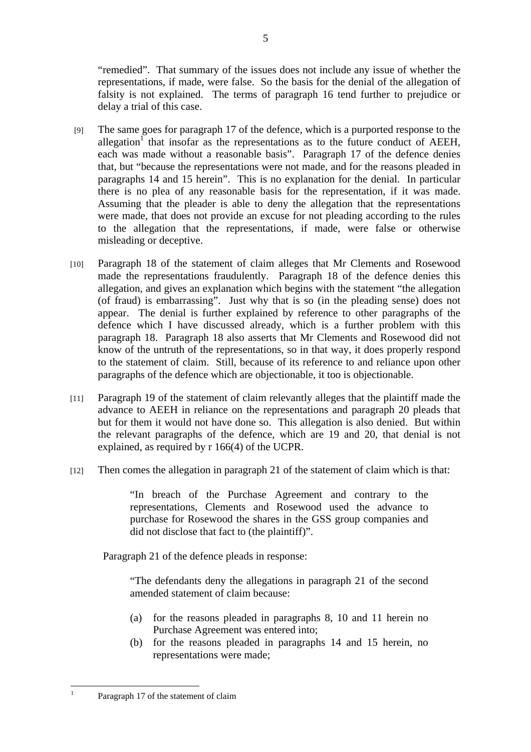"remedied". That summary of the issues does not include any issue of whether the representations, if made, were false. So the basis for the denial of the allegation of falsity is not explained. The terms of paragraph 16 tend further to prejudice or delay a trial of this case.

- [9] The same goes for paragraph 17 of the defence, which is a purported response to the allegation<sup>1</sup> that insofar as the representations as to the future conduct of AEEH, each was made without a reasonable basis". Paragraph 17 of the defence denies that, but "because the representations were not made, and for the reasons pleaded in paragraphs 14 and 15 herein". This is no explanation for the denial. In particular there is no plea of any reasonable basis for the representation, if it was made. Assuming that the pleader is able to deny the allegation that the representations were made, that does not provide an excuse for not pleading according to the rules to the allegation that the representations, if made, were false or otherwise misleading or deceptive.
- [10] Paragraph 18 of the statement of claim alleges that Mr Clements and Rosewood made the representations fraudulently. Paragraph 18 of the defence denies this allegation, and gives an explanation which begins with the statement "the allegation (of fraud) is embarrassing". Just why that is so (in the pleading sense) does not appear. The denial is further explained by reference to other paragraphs of the defence which I have discussed already, which is a further problem with this paragraph 18. Paragraph 18 also asserts that Mr Clements and Rosewood did not know of the untruth of the representations, so in that way, it does properly respond to the statement of claim. Still, because of its reference to and reliance upon other paragraphs of the defence which are objectionable, it too is objectionable.
- [11] Paragraph 19 of the statement of claim relevantly alleges that the plaintiff made the advance to AEEH in reliance on the representations and paragraph 20 pleads that but for them it would not have done so. This allegation is also denied. But within the relevant paragraphs of the defence, which are 19 and 20, that denial is not explained, as required by r 166(4) of the UCPR.
- [12] Then comes the allegation in paragraph 21 of the statement of claim which is that:

"In breach of the Purchase Agreement and contrary to the representations, Clements and Rosewood used the advance to purchase for Rosewood the shares in the GSS group companies and did not disclose that fact to (the plaintiff)".

Paragraph 21 of the defence pleads in response:

"The defendants deny the allegations in paragraph 21 of the second amended statement of claim because:

- (a) for the reasons pleaded in paragraphs 8, 10 and 11 herein no Purchase Agreement was entered into;
- (b) for the reasons pleaded in paragraphs 14 and 15 herein, no representations were made;

 $\frac{1}{1}$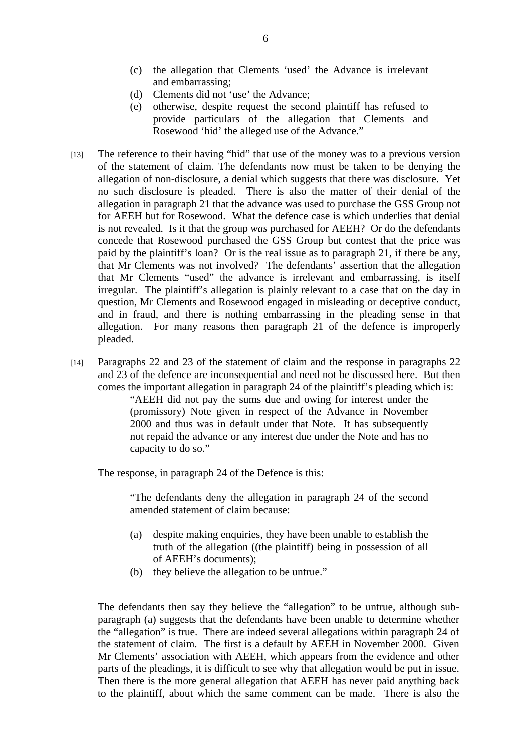- (c) the allegation that Clements 'used' the Advance is irrelevant and embarrassing;
- (d) Clements did not 'use' the Advance;
- (e) otherwise, despite request the second plaintiff has refused to provide particulars of the allegation that Clements and Rosewood 'hid' the alleged use of the Advance."
- [13] The reference to their having "hid" that use of the money was to a previous version of the statement of claim. The defendants now must be taken to be denying the allegation of non-disclosure, a denial which suggests that there was disclosure. Yet no such disclosure is pleaded. There is also the matter of their denial of the allegation in paragraph 21 that the advance was used to purchase the GSS Group not for AEEH but for Rosewood. What the defence case is which underlies that denial is not revealed. Is it that the group *was* purchased for AEEH? Or do the defendants concede that Rosewood purchased the GSS Group but contest that the price was paid by the plaintiff's loan? Or is the real issue as to paragraph 21, if there be any, that Mr Clements was not involved? The defendants' assertion that the allegation that Mr Clements "used" the advance is irrelevant and embarrassing, is itself irregular. The plaintiff's allegation is plainly relevant to a case that on the day in question, Mr Clements and Rosewood engaged in misleading or deceptive conduct, and in fraud, and there is nothing embarrassing in the pleading sense in that allegation. For many reasons then paragraph 21 of the defence is improperly pleaded.
- [14] Paragraphs 22 and 23 of the statement of claim and the response in paragraphs 22 and 23 of the defence are inconsequential and need not be discussed here. But then comes the important allegation in paragraph 24 of the plaintiff's pleading which is:

"AEEH did not pay the sums due and owing for interest under the (promissory) Note given in respect of the Advance in November 2000 and thus was in default under that Note. It has subsequently not repaid the advance or any interest due under the Note and has no capacity to do so."

The response, in paragraph 24 of the Defence is this:

"The defendants deny the allegation in paragraph 24 of the second amended statement of claim because:

- (a) despite making enquiries, they have been unable to establish the truth of the allegation ((the plaintiff) being in possession of all of AEEH's documents);
- (b) they believe the allegation to be untrue."

The defendants then say they believe the "allegation" to be untrue, although subparagraph (a) suggests that the defendants have been unable to determine whether the "allegation" is true. There are indeed several allegations within paragraph 24 of the statement of claim. The first is a default by AEEH in November 2000. Given Mr Clements' association with AEEH, which appears from the evidence and other parts of the pleadings, it is difficult to see why that allegation would be put in issue. Then there is the more general allegation that AEEH has never paid anything back to the plaintiff, about which the same comment can be made. There is also the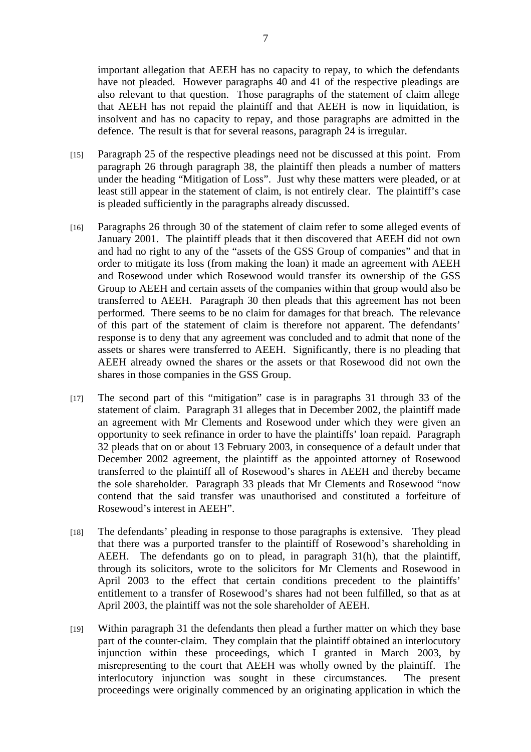important allegation that AEEH has no capacity to repay, to which the defendants have not pleaded. However paragraphs 40 and 41 of the respective pleadings are also relevant to that question. Those paragraphs of the statement of claim allege that AEEH has not repaid the plaintiff and that AEEH is now in liquidation, is insolvent and has no capacity to repay, and those paragraphs are admitted in the defence. The result is that for several reasons, paragraph 24 is irregular.

- [15] Paragraph 25 of the respective pleadings need not be discussed at this point. From paragraph 26 through paragraph 38, the plaintiff then pleads a number of matters under the heading "Mitigation of Loss". Just why these matters were pleaded, or at least still appear in the statement of claim, is not entirely clear. The plaintiff's case is pleaded sufficiently in the paragraphs already discussed.
- [16] Paragraphs 26 through 30 of the statement of claim refer to some alleged events of January 2001. The plaintiff pleads that it then discovered that AEEH did not own and had no right to any of the "assets of the GSS Group of companies" and that in order to mitigate its loss (from making the loan) it made an agreement with AEEH and Rosewood under which Rosewood would transfer its ownership of the GSS Group to AEEH and certain assets of the companies within that group would also be transferred to AEEH. Paragraph 30 then pleads that this agreement has not been performed. There seems to be no claim for damages for that breach. The relevance of this part of the statement of claim is therefore not apparent. The defendants' response is to deny that any agreement was concluded and to admit that none of the assets or shares were transferred to AEEH. Significantly, there is no pleading that AEEH already owned the shares or the assets or that Rosewood did not own the shares in those companies in the GSS Group.
- [17] The second part of this "mitigation" case is in paragraphs 31 through 33 of the statement of claim. Paragraph 31 alleges that in December 2002, the plaintiff made an agreement with Mr Clements and Rosewood under which they were given an opportunity to seek refinance in order to have the plaintiffs' loan repaid. Paragraph 32 pleads that on or about 13 February 2003, in consequence of a default under that December 2002 agreement, the plaintiff as the appointed attorney of Rosewood transferred to the plaintiff all of Rosewood's shares in AEEH and thereby became the sole shareholder. Paragraph 33 pleads that Mr Clements and Rosewood "now contend that the said transfer was unauthorised and constituted a forfeiture of Rosewood's interest in AEEH".
- [18] The defendants' pleading in response to those paragraphs is extensive. They plead that there was a purported transfer to the plaintiff of Rosewood's shareholding in AEEH. The defendants go on to plead, in paragraph 31(h), that the plaintiff, through its solicitors, wrote to the solicitors for Mr Clements and Rosewood in April 2003 to the effect that certain conditions precedent to the plaintiffs' entitlement to a transfer of Rosewood's shares had not been fulfilled, so that as at April 2003, the plaintiff was not the sole shareholder of AEEH.
- [19] Within paragraph 31 the defendants then plead a further matter on which they base part of the counter-claim. They complain that the plaintiff obtained an interlocutory injunction within these proceedings, which I granted in March 2003, by misrepresenting to the court that AEEH was wholly owned by the plaintiff. The interlocutory injunction was sought in these circumstances. The present proceedings were originally commenced by an originating application in which the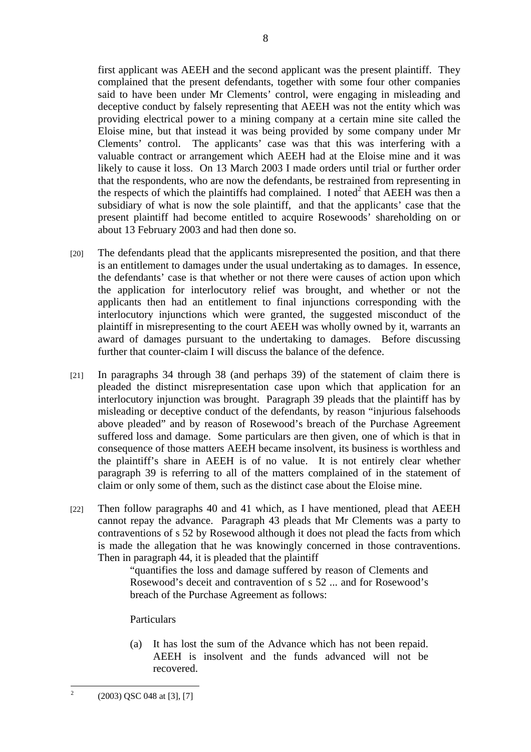first applicant was AEEH and the second applicant was the present plaintiff. They complained that the present defendants, together with some four other companies said to have been under Mr Clements' control, were engaging in misleading and deceptive conduct by falsely representing that AEEH was not the entity which was providing electrical power to a mining company at a certain mine site called the Eloise mine, but that instead it was being provided by some company under Mr Clements' control. The applicants' case was that this was interfering with a valuable contract or arrangement which AEEH had at the Eloise mine and it was likely to cause it loss. On 13 March 2003 I made orders until trial or further order that the respondents, who are now the defendants, be restrained from representing in the respects of which the plaintiffs had complained. I noted<sup>2</sup> that AEEH was then a subsidiary of what is now the sole plaintiff, and that the applicants' case that the present plaintiff had become entitled to acquire Rosewoods' shareholding on or about 13 February 2003 and had then done so.

- [20] The defendants plead that the applicants misrepresented the position, and that there is an entitlement to damages under the usual undertaking as to damages. In essence, the defendants' case is that whether or not there were causes of action upon which the application for interlocutory relief was brought, and whether or not the applicants then had an entitlement to final injunctions corresponding with the interlocutory injunctions which were granted, the suggested misconduct of the plaintiff in misrepresenting to the court AEEH was wholly owned by it, warrants an award of damages pursuant to the undertaking to damages. Before discussing further that counter-claim I will discuss the balance of the defence.
- [21] In paragraphs 34 through 38 (and perhaps 39) of the statement of claim there is pleaded the distinct misrepresentation case upon which that application for an interlocutory injunction was brought. Paragraph 39 pleads that the plaintiff has by misleading or deceptive conduct of the defendants, by reason "injurious falsehoods above pleaded" and by reason of Rosewood's breach of the Purchase Agreement suffered loss and damage. Some particulars are then given, one of which is that in consequence of those matters AEEH became insolvent, its business is worthless and the plaintiff's share in AEEH is of no value. It is not entirely clear whether paragraph 39 is referring to all of the matters complained of in the statement of claim or only some of them, such as the distinct case about the Eloise mine.
- [22] Then follow paragraphs 40 and 41 which, as I have mentioned, plead that AEEH cannot repay the advance. Paragraph 43 pleads that Mr Clements was a party to contraventions of s 52 by Rosewood although it does not plead the facts from which is made the allegation that he was knowingly concerned in those contraventions. Then in paragraph 44, it is pleaded that the plaintiff

"quantifies the loss and damage suffered by reason of Clements and Rosewood's deceit and contravention of s 52 ... and for Rosewood's breach of the Purchase Agreement as follows:

**Particulars** 

(a) It has lost the sum of the Advance which has not been repaid. AEEH is insolvent and the funds advanced will not be recovered.

 $\frac{1}{2}$ 

 <sup>(2003)</sup> QSC 048 at [3], [7]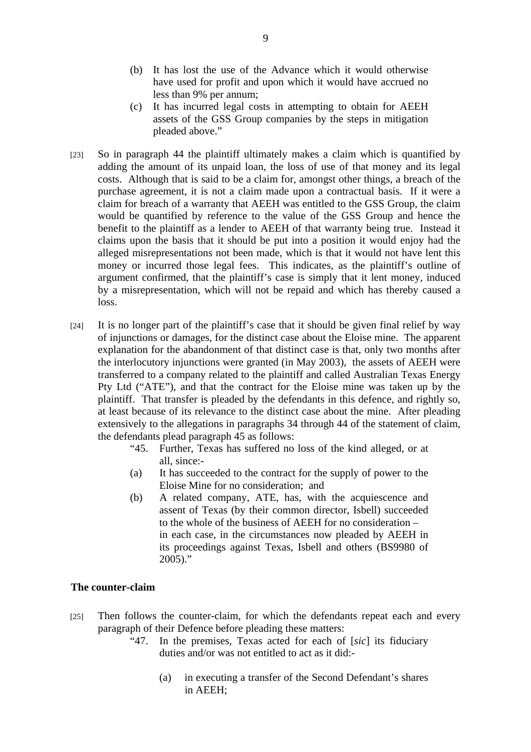- (b) It has lost the use of the Advance which it would otherwise have used for profit and upon which it would have accrued no less than 9% per annum;
- (c) It has incurred legal costs in attempting to obtain for AEEH assets of the GSS Group companies by the steps in mitigation pleaded above."
- [23] So in paragraph 44 the plaintiff ultimately makes a claim which is quantified by adding the amount of its unpaid loan, the loss of use of that money and its legal costs. Although that is said to be a claim for, amongst other things, a breach of the purchase agreement, it is not a claim made upon a contractual basis. If it were a claim for breach of a warranty that AEEH was entitled to the GSS Group, the claim would be quantified by reference to the value of the GSS Group and hence the benefit to the plaintiff as a lender to AEEH of that warranty being true. Instead it claims upon the basis that it should be put into a position it would enjoy had the alleged misrepresentations not been made, which is that it would not have lent this money or incurred those legal fees. This indicates, as the plaintiff's outline of argument confirmed, that the plaintiff's case is simply that it lent money, induced by a misrepresentation, which will not be repaid and which has thereby caused a loss.
- [24] It is no longer part of the plaintiff's case that it should be given final relief by way of injunctions or damages, for the distinct case about the Eloise mine. The apparent explanation for the abandonment of that distinct case is that, only two months after the interlocutory injunctions were granted (in May 2003), the assets of AEEH were transferred to a company related to the plaintiff and called Australian Texas Energy Pty Ltd ("ATE"), and that the contract for the Eloise mine was taken up by the plaintiff. That transfer is pleaded by the defendants in this defence, and rightly so, at least because of its relevance to the distinct case about the mine. After pleading extensively to the allegations in paragraphs 34 through 44 of the statement of claim, the defendants plead paragraph 45 as follows:
	- "45. Further, Texas has suffered no loss of the kind alleged, or at all, since:-
	- (a) It has succeeded to the contract for the supply of power to the Eloise Mine for no consideration; and
	- (b) A related company, ATE, has, with the acquiescence and assent of Texas (by their common director, Isbell) succeeded to the whole of the business of AEEH for no consideration – in each case, in the circumstances now pleaded by AEEH in its proceedings against Texas, Isbell and others (BS9980 of 2005)."

## **The counter-claim**

- [25] Then follows the counter-claim, for which the defendants repeat each and every paragraph of their Defence before pleading these matters:
	- "47. In the premises, Texas acted for each of [*sic*] its fiduciary duties and/or was not entitled to act as it did:-
		- (a) in executing a transfer of the Second Defendant's shares in AEEH;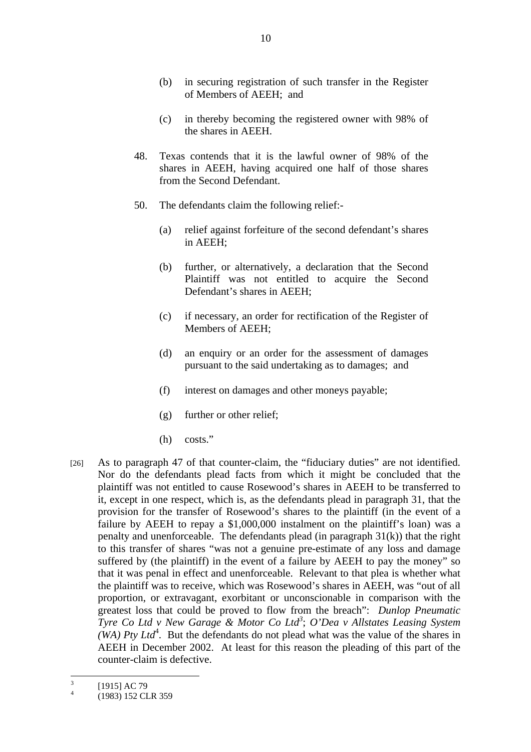- (b) in securing registration of such transfer in the Register of Members of AEEH; and
- (c) in thereby becoming the registered owner with 98% of the shares in AEEH.
- 48. Texas contends that it is the lawful owner of 98% of the shares in AEEH, having acquired one half of those shares from the Second Defendant.
- 50. The defendants claim the following relief:-
	- (a) relief against forfeiture of the second defendant's shares in AEEH;
	- (b) further, or alternatively, a declaration that the Second Plaintiff was not entitled to acquire the Second Defendant's shares in AEEH;
	- (c) if necessary, an order for rectification of the Register of Members of AEEH;
	- (d) an enquiry or an order for the assessment of damages pursuant to the said undertaking as to damages; and
	- (f) interest on damages and other moneys payable;
	- (g) further or other relief;
	- (h) costs."
- [26] As to paragraph 47 of that counter-claim, the "fiduciary duties" are not identified. Nor do the defendants plead facts from which it might be concluded that the plaintiff was not entitled to cause Rosewood's shares in AEEH to be transferred to it, except in one respect, which is, as the defendants plead in paragraph 31, that the provision for the transfer of Rosewood's shares to the plaintiff (in the event of a failure by AEEH to repay a \$1,000,000 instalment on the plaintiff's loan) was a penalty and unenforceable. The defendants plead (in paragraph  $31(k)$ ) that the right to this transfer of shares "was not a genuine pre-estimate of any loss and damage suffered by (the plaintiff) in the event of a failure by AEEH to pay the money" so that it was penal in effect and unenforceable. Relevant to that plea is whether what the plaintiff was to receive, which was Rosewood's shares in AEEH, was "out of all proportion, or extravagant, exorbitant or unconscionable in comparison with the greatest loss that could be proved to flow from the breach": *Dunlop Pneumatic Tyre Co Ltd v New Garage & Motor Co Ltd<sup>3</sup>; O'Dea v Allstates Leasing System (WA) Pty Ltd*<sup>4</sup>. But the defendants do not plead what was the value of the shares in AEEH in December 2002. At least for this reason the pleading of this part of the counter-claim is defective.

 3 [1915] AC 79

<sup>4</sup> (1983) 152 CLR 359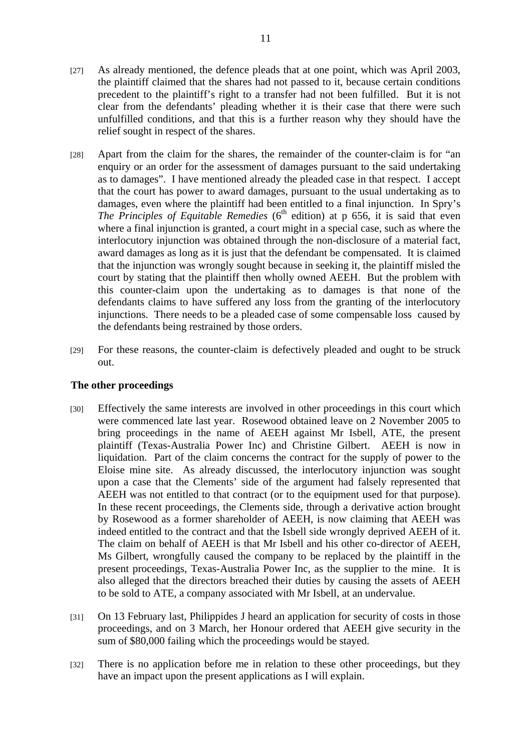- [27] As already mentioned, the defence pleads that at one point, which was April 2003, the plaintiff claimed that the shares had not passed to it, because certain conditions precedent to the plaintiff's right to a transfer had not been fulfilled. But it is not clear from the defendants' pleading whether it is their case that there were such unfulfilled conditions, and that this is a further reason why they should have the relief sought in respect of the shares.
- [28] Apart from the claim for the shares, the remainder of the counter-claim is for "an enquiry or an order for the assessment of damages pursuant to the said undertaking as to damages". I have mentioned already the pleaded case in that respect. I accept that the court has power to award damages, pursuant to the usual undertaking as to damages, even where the plaintiff had been entitled to a final injunction. In Spry's *The Principles of Equitable Remedies* ( $6<sup>th</sup>$  edition) at p 656, it is said that even where a final injunction is granted, a court might in a special case, such as where the interlocutory injunction was obtained through the non-disclosure of a material fact, award damages as long as it is just that the defendant be compensated. It is claimed that the injunction was wrongly sought because in seeking it, the plaintiff misled the court by stating that the plaintiff then wholly owned AEEH. But the problem with this counter-claim upon the undertaking as to damages is that none of the defendants claims to have suffered any loss from the granting of the interlocutory injunctions. There needs to be a pleaded case of some compensable loss caused by the defendants being restrained by those orders.
- [29] For these reasons, the counter-claim is defectively pleaded and ought to be struck out.

## **The other proceedings**

- [30] Effectively the same interests are involved in other proceedings in this court which were commenced late last year. Rosewood obtained leave on 2 November 2005 to bring proceedings in the name of AEEH against Mr Isbell, ATE, the present plaintiff (Texas-Australia Power Inc) and Christine Gilbert. AEEH is now in liquidation. Part of the claim concerns the contract for the supply of power to the Eloise mine site. As already discussed, the interlocutory injunction was sought upon a case that the Clements' side of the argument had falsely represented that AEEH was not entitled to that contract (or to the equipment used for that purpose). In these recent proceedings, the Clements side, through a derivative action brought by Rosewood as a former shareholder of AEEH, is now claiming that AEEH was indeed entitled to the contract and that the Isbell side wrongly deprived AEEH of it. The claim on behalf of AEEH is that Mr Isbell and his other co-director of AEEH, Ms Gilbert, wrongfully caused the company to be replaced by the plaintiff in the present proceedings, Texas-Australia Power Inc, as the supplier to the mine. It is also alleged that the directors breached their duties by causing the assets of AEEH to be sold to ATE, a company associated with Mr Isbell, at an undervalue.
- [31] On 13 February last, Philippides J heard an application for security of costs in those proceedings, and on 3 March, her Honour ordered that AEEH give security in the sum of \$80,000 failing which the proceedings would be stayed.
- [32] There is no application before me in relation to these other proceedings, but they have an impact upon the present applications as I will explain.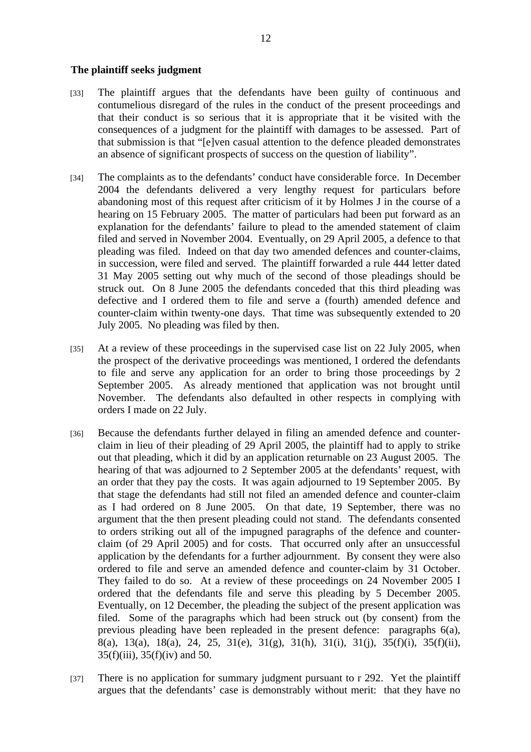## **The plaintiff seeks judgment**

- [33] The plaintiff argues that the defendants have been guilty of continuous and contumelious disregard of the rules in the conduct of the present proceedings and that their conduct is so serious that it is appropriate that it be visited with the consequences of a judgment for the plaintiff with damages to be assessed. Part of that submission is that "[e]ven casual attention to the defence pleaded demonstrates an absence of significant prospects of success on the question of liability".
- [34] The complaints as to the defendants' conduct have considerable force. In December 2004 the defendants delivered a very lengthy request for particulars before abandoning most of this request after criticism of it by Holmes J in the course of a hearing on 15 February 2005. The matter of particulars had been put forward as an explanation for the defendants' failure to plead to the amended statement of claim filed and served in November 2004. Eventually, on 29 April 2005, a defence to that pleading was filed. Indeed on that day two amended defences and counter-claims, in succession, were filed and served. The plaintiff forwarded a rule 444 letter dated 31 May 2005 setting out why much of the second of those pleadings should be struck out. On 8 June 2005 the defendants conceded that this third pleading was defective and I ordered them to file and serve a (fourth) amended defence and counter-claim within twenty-one days. That time was subsequently extended to 20 July 2005. No pleading was filed by then.
- [35] At a review of these proceedings in the supervised case list on 22 July 2005, when the prospect of the derivative proceedings was mentioned, I ordered the defendants to file and serve any application for an order to bring those proceedings by 2 September 2005. As already mentioned that application was not brought until November. The defendants also defaulted in other respects in complying with orders I made on 22 July.
- [36] Because the defendants further delayed in filing an amended defence and counterclaim in lieu of their pleading of 29 April 2005, the plaintiff had to apply to strike out that pleading, which it did by an application returnable on 23 August 2005. The hearing of that was adjourned to 2 September 2005 at the defendants' request, with an order that they pay the costs. It was again adjourned to 19 September 2005. By that stage the defendants had still not filed an amended defence and counter-claim as I had ordered on 8 June 2005. On that date, 19 September, there was no argument that the then present pleading could not stand. The defendants consented to orders striking out all of the impugned paragraphs of the defence and counterclaim (of 29 April 2005) and for costs. That occurred only after an unsuccessful application by the defendants for a further adjournment. By consent they were also ordered to file and serve an amended defence and counter-claim by 31 October. They failed to do so. At a review of these proceedings on 24 November 2005 I ordered that the defendants file and serve this pleading by 5 December 2005. Eventually, on 12 December, the pleading the subject of the present application was filed. Some of the paragraphs which had been struck out (by consent) from the previous pleading have been repleaded in the present defence: paragraphs 6(a), 8(a), 13(a), 18(a), 24, 25, 31(e), 31(g), 31(h), 31(i), 31(j), 35(f)(i), 35(f)(ii),  $35(f)(iii)$ ,  $35(f)(iv)$  and 50.
- [37] There is no application for summary judgment pursuant to r 292. Yet the plaintiff argues that the defendants' case is demonstrably without merit: that they have no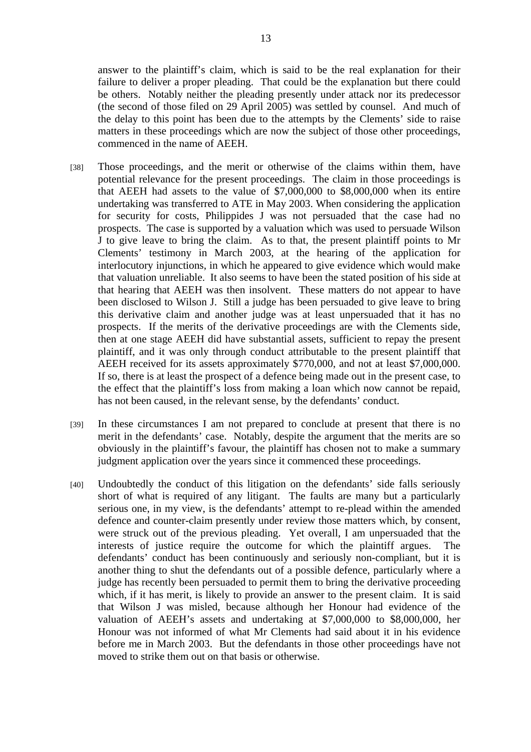answer to the plaintiff's claim, which is said to be the real explanation for their failure to deliver a proper pleading. That could be the explanation but there could be others. Notably neither the pleading presently under attack nor its predecessor (the second of those filed on 29 April 2005) was settled by counsel. And much of the delay to this point has been due to the attempts by the Clements' side to raise matters in these proceedings which are now the subject of those other proceedings, commenced in the name of AEEH.

- [38] Those proceedings, and the merit or otherwise of the claims within them, have potential relevance for the present proceedings. The claim in those proceedings is that AEEH had assets to the value of \$7,000,000 to \$8,000,000 when its entire undertaking was transferred to ATE in May 2003. When considering the application for security for costs, Philippides J was not persuaded that the case had no prospects. The case is supported by a valuation which was used to persuade Wilson J to give leave to bring the claim. As to that, the present plaintiff points to Mr Clements' testimony in March 2003, at the hearing of the application for interlocutory injunctions, in which he appeared to give evidence which would make that valuation unreliable. It also seems to have been the stated position of his side at that hearing that AEEH was then insolvent. These matters do not appear to have been disclosed to Wilson J. Still a judge has been persuaded to give leave to bring this derivative claim and another judge was at least unpersuaded that it has no prospects. If the merits of the derivative proceedings are with the Clements side, then at one stage AEEH did have substantial assets, sufficient to repay the present plaintiff, and it was only through conduct attributable to the present plaintiff that AEEH received for its assets approximately \$770,000, and not at least \$7,000,000. If so, there is at least the prospect of a defence being made out in the present case, to the effect that the plaintiff's loss from making a loan which now cannot be repaid, has not been caused, in the relevant sense, by the defendants' conduct.
- [39] In these circumstances I am not prepared to conclude at present that there is no merit in the defendants' case. Notably, despite the argument that the merits are so obviously in the plaintiff's favour, the plaintiff has chosen not to make a summary judgment application over the years since it commenced these proceedings.
- [40] Undoubtedly the conduct of this litigation on the defendants' side falls seriously short of what is required of any litigant. The faults are many but a particularly serious one, in my view, is the defendants' attempt to re-plead within the amended defence and counter-claim presently under review those matters which, by consent, were struck out of the previous pleading. Yet overall, I am unpersuaded that the interests of justice require the outcome for which the plaintiff argues. The defendants' conduct has been continuously and seriously non-compliant, but it is another thing to shut the defendants out of a possible defence, particularly where a judge has recently been persuaded to permit them to bring the derivative proceeding which, if it has merit, is likely to provide an answer to the present claim. It is said that Wilson J was misled, because although her Honour had evidence of the valuation of AEEH's assets and undertaking at \$7,000,000 to \$8,000,000, her Honour was not informed of what Mr Clements had said about it in his evidence before me in March 2003. But the defendants in those other proceedings have not moved to strike them out on that basis or otherwise.